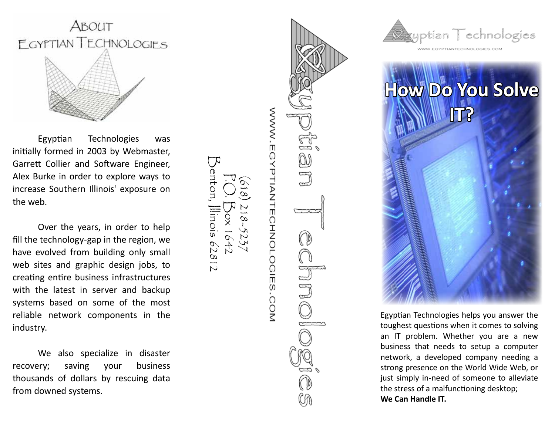

Egyptian Technologies was initially formed in 2003 by Webmaster, Garrett Collier and Software Engineer, Alex Burke in order to explore ways to increase Southern Illinois' exposure on the web.

Over the years, in order to help fill the technology-gap in the region, we have evolved from building only small web sites and graphic design jobs, to creating entire business infrastructures with the latest in server and backup systems based on some of the most reliable network components in the industry.

We also specialize in disaster recovery; saving your business thousands of dollars by rescuing data from downed systems.

WWW.EGYPTIANTECHNOLOGIES.COM DUI

P.O. Box 1642

 $\sigma$  $47$ 

Benton, Illinois 62812

enton, Illinois 62812

(618) 218-5237





Egyptian Technologies helps you answer the toughest questions when it comes to solving an IT problem. Whether you are a new business that needs to setup a computer network, a developed company needing a strong presence on the World Wide Web, or just simply in-need of someone to alleviate the stress of a malfunctioning desktop; **We Can Handle IT.**